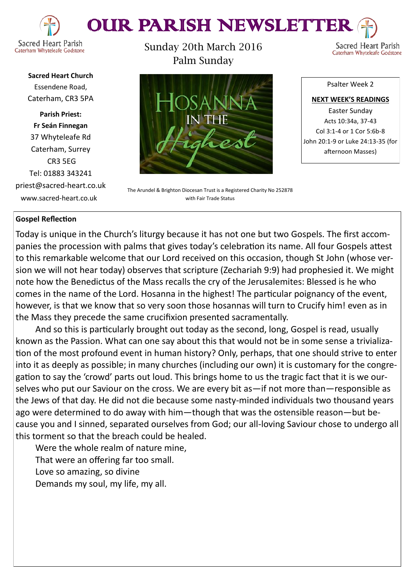



**Sacred Heart Church** Essendene Road, Caterham, CR3 5PA

**Parish Priest: Fr Seán Finnegan** 37 Whyteleafe Rd Caterham, Surrey CR3 5EG Tel: 01883 343241 priest@sacred-heart.co.uk www.sacred-heart.co.uk

Sunday 20th March 2016 Palm Sunday



The Arundel & Brighton Diocesan Trust is a Registered Charity No 252878 with Fair Trade Status

# Psalter Week 2

Sacred Heart Parish

Caterham Whyteleafe Godstone

**NEXT WEEK'S READINGS** Easter Sunday Acts 10:34a, 37-43 Col 3:1-4 or 1 Cor 5:6b-8 John 20:1-9 or Luke 24:13-35 (for afternoon Masses)

# **Gospel Reflection**

Today is unique in the Church's liturgy because it has not one but two Gospels. The first accompanies the procession with palms that gives today's celebration its name. All four Gospels attest to this remarkable welcome that our Lord received on this occasion, though St John (whose version we will not hear today) observes that scripture (Zechariah 9:9) had prophesied it. We might note how the Benedictus of the Mass recalls the cry of the Jerusalemites: Blessed is he who comes in the name of the Lord. Hosanna in the highest! The particular poignancy of the event, however, is that we know that so very soon those hosannas will turn to Crucify him! even as in the Mass they precede the same crucifixion presented sacramentally.

And so this is particularly brought out today as the second, long, Gospel is read, usually known as the Passion. What can one say about this that would not be in some sense a trivialization of the most profound event in human history? Only, perhaps, that one should strive to enter into it as deeply as possible; in many churches (including our own) it is customary for the congregation to say the 'crowd' parts out loud. This brings home to us the tragic fact that it is we ourselves who put our Saviour on the cross. We are every bit as—if not more than—responsible as the Jews of that day. He did not die because some nasty-minded individuals two thousand years ago were determined to do away with him—though that was the ostensible reason—but because you and I sinned, separated ourselves from God; our all-loving Saviour chose to undergo all this torment so that the breach could be healed.

Were the whole realm of nature mine, That were an offering far too small. Love so amazing, so divine

Demands my soul, my life, my all.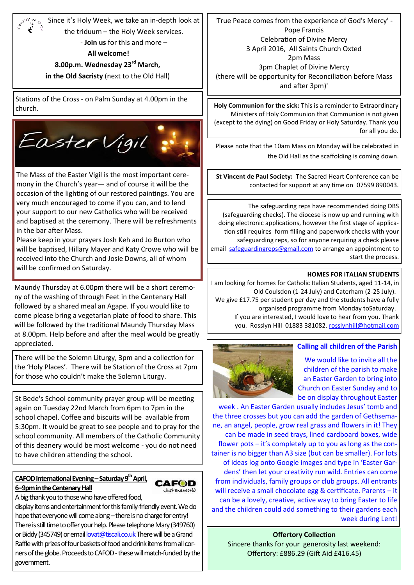Since it's Holy Week, we take an in-depth look at 'True Peace comes from the experience of God's Mercy' - Pope Francis the triduum – the Holy Week services. Celebration of Divine Mercy - **Join us** for this and more – 3 April 2016, All Saints Church Oxted **All welcome!**  2pm Mass **8.00p.m. Wednesday 23rd March,**  3pm Chaplet of Divine Mercy **in the Old Sacristy** (next to the Old Hall) (there will be opportunity for Reconciliation before Mass and after 3pm)' Stations of the Cross - on Palm Sunday at 4.00pm in the **Holy Communion for the sick:** This is a reminder to Extraordinary church. Ministers of Holy Communion that Communion is not given (except to the dying) on Good Friday or Holy Saturday. Thank you Easter Vigil Please note that the 10am Mass on Monday will be celebrated in the Old Hall as the scaffolding is coming down.The Mass of the Easter Vigil is the most important cere-**St Vincent de Paul Society:** The Sacred Heart Conference can be mony in the Church's year— and of course it will be the contacted for support at any time on 07599 890043. occasion of the lighting of our restored paintings. You are very much encouraged to come if you can, and to lend The safeguarding reps have recommended doing DBS

(safeguarding checks). The diocese is now up and running with doing electronic applications, however the first stage of application still requires form filling and paperwork checks with your safeguarding reps, so for anyone requiring a check please email [safeguardingreps@gmail.com](mailto:safeguardingreps@gmail.com) to arrange an appointment to start the process.

# **HOMES FOR ITALIAN STUDENTS**

for all you do.

I am looking for homes for Catholic Italian Students, aged 11-14, in Old Coulsdon (1-24 July) and Caterham (2-25 July). We give £17.75 per student per day and the students have a fully organised programme from Monday toSaturday. If you are interested, I would love to hear from you. Thank you. Rosslyn Hill 01883 381082. [rosslynhill@hotmail.com](mailto:381082.%20rosslynhill@hotmail.com)

### **Calling all children of the Parish**



We would like to invite all the children of the parish to make an Easter Garden to bring into Church on Easter Sunday and to be on display throughout Easter

week . An Easter Garden usually includes Jesus' tomb and the three crosses but you can add the garden of Gethsemane, an angel, people, grow real grass and flowers in it! They can be made in seed trays, lined cardboard boxes, wide flower pots – it's completely up to you as long as the container is no bigger than A3 size (but can be smaller). For lots of ideas log onto Google images and type in 'Easter Gardens' then let your creativity run wild. Entries can come from individuals, family groups or club groups. All entrants will receive a small chocolate egg & certificate. Parents – it can be a lovely, creative, active way to bring Easter to life and the children could add something to their gardens each week during Lent!

# **Offertory Collection** Sincere thanks for your generosity last weekend: Offertory: £886.29 (Gift Aid £416.45)

**6–9pm in the Centenary Hall** A big thank you to those who have offered food,

**CAFOD International Evening –Saturday 9thApril,** 

display items and entertainment for this family-friendly event. We do hope that everyone will come along - there is no charge for entry! There is still time to offer your help. Please telephone Mary (349760) or Biddy (345749) or email [lovat@tiscali.co.uk](mailto:lovat@tiscali.co.uk) There will be a Grand Raffle with prizes of four baskets of food and drink items from all corners of the globe. Proceeds to CAFOD - these will match-funded by the government.

**CAFOD** Justoneworld

There will be the Solemn Liturgy, 3pm and a collection for the 'Holy Places'. There will be Station of the Cross at 7pm for those who couldn't make the Solemn Liturgy.

St Bede's School community prayer group will be meeting again on Tuesday 22nd March from 6pm to 7pm in the school chapel. Coffee and biscuits will be available from 5:30pm. It would be great to see people and to pray for the school community. All members of the Catholic Community of this deanery would be most welcome - you do not need to have children attending the school.

your support to our new Catholics who will be received and baptised at the ceremony. There will be refreshments in the bar after Mass.

Please keep in your prayers Josh Keh and Jo Burton who will be baptised, Hillary Mayer and Katy Crowe who will be received into the Church and Josie Downs, all of whom will be confirmed on Saturday.

Maundy Thursday at 6.00pm there will be a short ceremony of the washing of through Feet in the Centenary Hall followed by a shared meal an Agape. If you would like to come please bring a vegetarian plate of food to share. This will be followed by the traditional Maundy Thursday Mass at 8.00pm. Help before and after the meal would be greatly appreciated.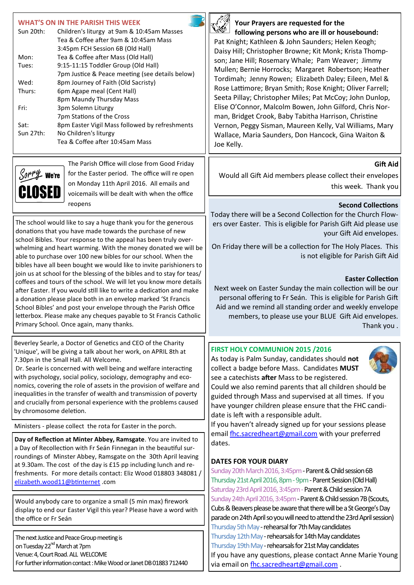| <b>WHAT'S ON IN THE PARISH THIS WEEK</b><br>Sun 20th:<br>Children's liturgy at 9am & 10:45am Masses<br>Tea & Coffee after 9am & 10:45am Mass<br>3:45pm FCH Session 6B (Old Hall)<br>Tea & Coffee after Mass (Old Hall)<br>Mon:<br>9:15-11:15 Toddler Group (Old Hall)<br>Tues:<br>7pm Justice & Peace meeting (see details below)<br>Wed:<br>8pm Journey of Faith (Old Sacristy)<br>Thurs:<br>6pm Agape meal (Cent Hall)<br>8pm Maundy Thursday Mass<br>Fri:<br>3pm Solemn Liturgy<br>7pm Stations of the Cross<br>8pm Easter Vigil Mass followed by refreshments<br>Sat:<br>Sun 27th:<br>No Children's liturgy<br>Tea & Coffee after 10:45am Mass                                                                                                                                                                                                                                             | Your Prayers are requested for the<br>following persons who are ill or housebound:<br>Pat Knight; Kathleen & John Saunders; Helen Keogh;<br>Daisy Hill; Christopher Browne; Kit Monk; Krista Thomp-<br>son; Jane Hill; Rosemary Whale; Pam Weaver; Jimmy<br>Mullen; Bernie Horrocks; Margaret Robertson; Heather<br>Tordimah; Jenny Rowen; Elizabeth Daley; Eileen, Mel &<br>Rose Lattimore; Bryan Smith; Rose Knight; Oliver Farrell;<br>Seeta Pillay; Christopher Miles; Pat McCoy; John Dunlop,<br>Elise O'Connor, Malcolm Bowen, John Gilford, Chris Nor-<br>man, Bridget Crook, Baby Tabitha Harrison, Christine<br>Vernon, Peggy Sisman, Maureen Kelly, Val Williams, Mary<br>Wallace, Maria Saunders, Don Hancock, Gina Waiton &<br>Joe Kelly. |  |
|------------------------------------------------------------------------------------------------------------------------------------------------------------------------------------------------------------------------------------------------------------------------------------------------------------------------------------------------------------------------------------------------------------------------------------------------------------------------------------------------------------------------------------------------------------------------------------------------------------------------------------------------------------------------------------------------------------------------------------------------------------------------------------------------------------------------------------------------------------------------------------------------|-------------------------------------------------------------------------------------------------------------------------------------------------------------------------------------------------------------------------------------------------------------------------------------------------------------------------------------------------------------------------------------------------------------------------------------------------------------------------------------------------------------------------------------------------------------------------------------------------------------------------------------------------------------------------------------------------------------------------------------------------------|--|
| The Parish Office will close from Good Friday<br>for the Easter period. The office will re open<br>We're<br>on Monday 11th April 2016. All emails and<br>ISE 11<br>voicemails will be dealt with when the office                                                                                                                                                                                                                                                                                                                                                                                                                                                                                                                                                                                                                                                                               | <b>Gift Aid</b><br>Would all Gift Aid members please collect their envelopes<br>this week. Thank you                                                                                                                                                                                                                                                                                                                                                                                                                                                                                                                                                                                                                                                  |  |
| reopens<br>The school would like to say a huge thank you for the generous<br>donations that you have made towards the purchase of new<br>school Bibles. Your response to the appeal has been truly over-<br>whelming and heart warming. With the money donated we will be<br>able to purchase over 100 new bibles for our school. When the<br>bibles have all been bought we would like to invite parishioners to<br>join us at school for the blessing of the bibles and to stay for teas/<br>coffees and tours of the school. We will let you know more details<br>after Easter. If you would still like to write a dedication and make<br>a donation please place both in an envelop marked 'St Francis<br>School Bibles' and post your envelope through the Parish Office<br>letterbox. Please make any cheques payable to St Francis Catholic<br>Primary School. Once again, many thanks. | <b>Second Collections</b><br>Today there will be a Second Collection for the Church Flow-<br>ers over Easter. This is eligible for Parish Gift Aid please use<br>your Gift Aid envelopes.<br>On Friday there will be a collection for The Holy Places. This<br>is not eligible for Parish Gift Aid<br><b>Easter Collection</b><br>Next week on Easter Sunday the main collection will be our<br>personal offering to Fr Seán. This is eligible for Parish Gift<br>Aid and we remind all standing order and weekly envelope<br>members, to please use your BLUE Gift Aid envelopes.<br>Thank you.                                                                                                                                                      |  |
| Beverley Searle, a Doctor of Genetics and CEO of the Charity<br>'Unique', will be giving a talk about her work, on APRIL 8th at<br>7.30pn in the Small Hall. All Welcome.<br>Dr. Searle is concerned with well being and welfare interacting<br>with psychology, social policy, sociology, demography and eco-<br>nomics, covering the role of assets in the provision of welfare and<br>inequalities in the transfer of wealth and transmission of poverty<br>and crucially from personal experience with the problems caused<br>by chromosome deletion.<br>Ministers - please collect the rota for Easter in the porch.                                                                                                                                                                                                                                                                      | FIRST HOLY COMMUNION 2015 /2016<br>As today is Palm Sunday, candidates should not<br>collect a badge before Mass. Candidates MUST<br>see a catechists after Mass to be registered.<br>Could we also remind parents that all children should be<br>guided through Mass and supervised at all times. If you<br>have younger children please ensure that the FHC candi-<br>date is left with a responsible adult.<br>If you haven't already signed up for your sessions please<br>email fhc.sacredheart@gmail.com with your preferred                                                                                                                                                                                                                    |  |
| Day of Reflection at Minter Abbey, Ramsgate. You are invited to<br>a Day of Recollection with Fr Seán Finnegan in the beautiful sur-<br>roundings of Minster Abbey, Ramsgate on the 30th April leaving<br>at 9.30am. The cost of the day is £15 pp including lunch and re-<br>freshments. For more details contact: Eliz Wood 018803 348081 /<br>elizabeth.wood11@btinternet.com                                                                                                                                                                                                                                                                                                                                                                                                                                                                                                               | dates.<br><b>DATES FOR YOUR DIARY</b><br>Sunday 20th March 2016, 3:45pm - Parent & Child session 6B<br>Thursday 21st April 2016, 8pm - 9pm - Parent Session (Old Hall)<br>Saturday 23rd April 2016, 3:45pm - Parent & Child session 7A                                                                                                                                                                                                                                                                                                                                                                                                                                                                                                                |  |
| Would anybody care to organize a small (5 min max) firework<br>display to end our Easter Vigil this year? Please have a word with<br>the office or Fr Seán<br>The next Justice and Peace Group meeting is<br>on Tuesday 22 <sup>nd</sup> March at 7pm<br>Venue: 4, Court Road. ALL WELCOME<br>For further information contact: Mike Wood or Janet DB 01883 712440                                                                                                                                                                                                                                                                                                                                                                                                                                                                                                                              | Sunday 24th April 2016, 3:45pm - Parent & Child session 7B (Scouts,<br>Cubs & Beavers please be aware that there will be a St George's Day<br>parade on 24th April so you will need to attend the 23rd April session)<br>Thursday 5th May - rehearsal for 7th May candidates<br>Thursday 12th May - rehearsals for 14th May candidates<br>Thursday 19th May - rehearsals for 21st May candidates<br>If you have any questions, please contact Anne Marie Young<br>via email on fhc.sacredheart@gmail.com.                                                                                                                                                                                                                                             |  |